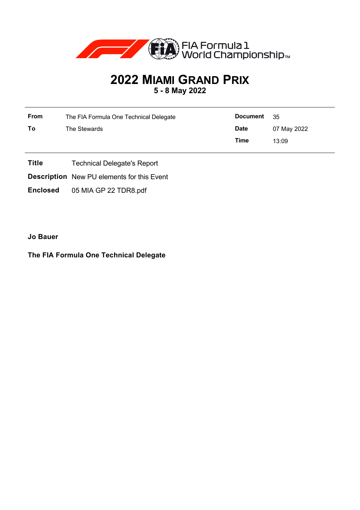

## **2022 MIAMI GRAND PRIX 5 - 8 May 2022**

| From | The FIA Formula One Technical Delegate | <b>Document</b> | - 35        |
|------|----------------------------------------|-----------------|-------------|
| To   | The Stewards                           | <b>Date</b>     | 07 May 2022 |
|      |                                        | Time            | 13:09       |

- **Title** Technical Delegate's Report
- **Description** New PU elements for this Event

**Enclosed** 05 MIA GP 22 TDR8.pdf

**Jo Bauer**

## **The FIA Formula One Technical Delegate**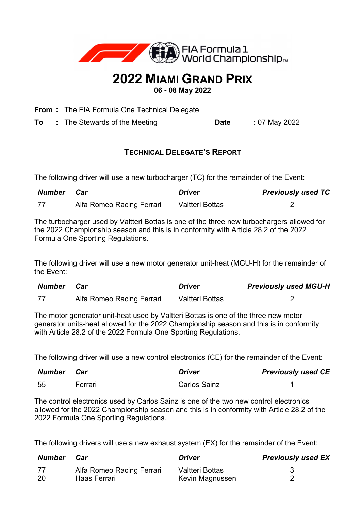

## **2022 MIAMI GRAND PRIX**

**06 - 08 May 2022**

**From :** The FIA Formula One Technical Delegate

**To** : The Stewards of the Meeting **Date** : 07 May 2022

## **TECHNICAL DELEGATE'S REPORT**

The following driver will use a new turbocharger (TC) for the remainder of the Event:

| Number | Car                       | <b>Driver</b>          | <b>Previously used TC</b> |
|--------|---------------------------|------------------------|---------------------------|
| 77     | Alfa Romeo Racing Ferrari | <b>Valtteri Bottas</b> |                           |

The turbocharger used by Valtteri Bottas is one of the three new turbochargers allowed for the 2022 Championship season and this is in conformity with Article 28.2 of the 2022 Formula One Sporting Regulations.

The following driver will use a new motor generator unit-heat (MGU-H) for the remainder of the Event:

| Number | Car                       | <b>Driver</b>   | <b>Previously used MGU-H</b> |
|--------|---------------------------|-----------------|------------------------------|
| - 77   | Alfa Romeo Racing Ferrari | Valtteri Bottas |                              |

The motor generator unit-heat used by Valtteri Bottas is one of the three new motor generator units-heat allowed for the 2022 Championship season and this is in conformity with Article 28.2 of the 2022 Formula One Sporting Regulations.

The following driver will use a new control electronics (CE) for the remainder of the Event:

| <b>Number Car</b> |         | <b>Driver</b>       | <b>Previously used CE</b> |
|-------------------|---------|---------------------|---------------------------|
| -55               | Ferrari | <b>Carlos Sainz</b> |                           |

The control electronics used by Carlos Sainz is one of the two new control electronics allowed for the 2022 Championship season and this is in conformity with Article 28.2 of the 2022 Formula One Sporting Regulations.

The following drivers will use a new exhaust system (EX) for the remainder of the Event:

| Number | Car                       | <b>Driver</b>   | <b>Previously used EX</b> |
|--------|---------------------------|-----------------|---------------------------|
| 77     | Alfa Romeo Racing Ferrari | Valtteri Bottas |                           |
| 20     | <b>Haas Ferrari</b>       | Kevin Magnussen |                           |